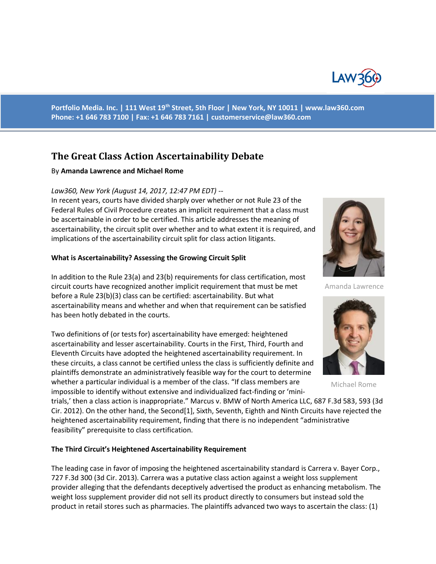

**Portfolio Media. Inc. | 111 West 19th Street, 5th Floor | New York, NY 10011 | www.law360.com Phone: +1 646 783 7100 | Fax: +1 646 783 7161 | [customerservice@law360.com](mailto:customerservice@law360.com)**

# **The Great Class Action Ascertainability Debate**

### By **Amanda Lawrence and Michael Rome**

### *Law360, New York (August 14, 2017, 12:47 PM EDT) --*

In recent years, courts have divided sharply over whether or not Rule 23 of the Federal Rules of Civil Procedure creates an implicit requirement that a class must be ascertainable in order to be certified. This article addresses the meaning of ascertainability, the circuit split over whether and to what extent it is required, and implications of the ascertainability circuit split for class action litigants.

### **What is Ascertainability? Assessing the Growing Circuit Split**

In addition to the Rule 23(a) and 23(b) requirements for class certification, most circuit courts have recognized another implicit requirement that must be met before a Rule 23(b)(3) class can be certified: ascertainability. But what ascertainability means and whether and when that requirement can be satisfied has been hotly debated in the courts.

Two definitions of (or tests for) ascertainability have emerged: heightened ascertainability and lesser ascertainability. Courts in the First, Third, Fourth and Eleventh Circuits have adopted the heightened ascertainability requirement. In these circuits, a class cannot be certified unless the class is sufficiently definite and plaintiffs demonstrate an administratively feasible way for the court to determine whether a particular individual is a member of the class. "If class members are impossible to identify without extensive and individualized fact-finding or 'mini-

trials,' then a class action is inappropriate." Marcus v. BMW of North America LLC, 687 F.3d 583, 593 (3d Cir. 2012). On the other hand, the Second[1], Sixth, Seventh, Eighth and Ninth Circuits have rejected the heightened ascertainability requirement, finding that there is no independent "administrative feasibility" prerequisite to class certification.

#### **The Third Circuit's Heightened Ascertainability Requirement**

The leading case in favor of imposing the heightened ascertainability standard is Carrera v. Bayer Corp., 727 F.3d 300 (3d Cir. 2013). Carrera was a putative class action against a weight loss supplement provider alleging that the defendants deceptively advertised the product as enhancing metabolism. The weight loss supplement provider did not sell its product directly to consumers but instead sold the product in retail stores such as pharmacies. The plaintiffs advanced two ways to ascertain the class: (1)



Amanda Lawrence



Michael Rome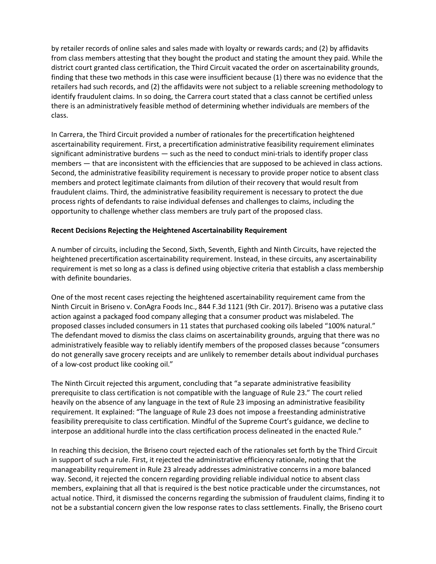by retailer records of online sales and sales made with loyalty or rewards cards; and (2) by affidavits from class members attesting that they bought the product and stating the amount they paid. While the district court granted class certification, the Third Circuit vacated the order on ascertainability grounds, finding that these two methods in this case were insufficient because (1) there was no evidence that the retailers had such records, and (2) the affidavits were not subject to a reliable screening methodology to identify fraudulent claims. In so doing, the Carrera court stated that a class cannot be certified unless there is an administratively feasible method of determining whether individuals are members of the class.

In Carrera, the Third Circuit provided a number of rationales for the precertification heightened ascertainability requirement. First, a precertification administrative feasibility requirement eliminates significant administrative burdens — such as the need to conduct mini-trials to identify proper class members — that are inconsistent with the efficiencies that are supposed to be achieved in class actions. Second, the administrative feasibility requirement is necessary to provide proper notice to absent class members and protect legitimate claimants from dilution of their recovery that would result from fraudulent claims. Third, the administrative feasibility requirement is necessary to protect the due process rights of defendants to raise individual defenses and challenges to claims, including the opportunity to challenge whether class members are truly part of the proposed class.

## **Recent Decisions Rejecting the Heightened Ascertainability Requirement**

A number of circuits, including the Second, Sixth, Seventh, Eighth and Ninth Circuits, have rejected the heightened precertification ascertainability requirement. Instead, in these circuits, any ascertainability requirement is met so long as a class is defined using objective criteria that establish a class membership with definite boundaries.

One of the most recent cases rejecting the heightened ascertainability requirement came from the Ninth Circuit in Briseno v. ConAgra Foods Inc., 844 F.3d 1121 (9th Cir. 2017). Briseno was a putative class action against a packaged food company alleging that a consumer product was mislabeled. The proposed classes included consumers in 11 states that purchased cooking oils labeled "100% natural." The defendant moved to dismiss the class claims on ascertainability grounds, arguing that there was no administratively feasible way to reliably identify members of the proposed classes because "consumers do not generally save grocery receipts and are unlikely to remember details about individual purchases of a low-cost product like cooking oil."

The Ninth Circuit rejected this argument, concluding that "a separate administrative feasibility prerequisite to class certification is not compatible with the language of Rule 23." The court relied heavily on the absence of any language in the text of Rule 23 imposing an administrative feasibility requirement. It explained: "The language of Rule 23 does not impose a freestanding administrative feasibility prerequisite to class certification. Mindful of the Supreme Court's guidance, we decline to interpose an additional hurdle into the class certification process delineated in the enacted Rule."

In reaching this decision, the Briseno court rejected each of the rationales set forth by the Third Circuit in support of such a rule. First, it rejected the administrative efficiency rationale, noting that the manageability requirement in Rule 23 already addresses administrative concerns in a more balanced way. Second, it rejected the concern regarding providing reliable individual notice to absent class members, explaining that all that is required is the best notice practicable under the circumstances, not actual notice. Third, it dismissed the concerns regarding the submission of fraudulent claims, finding it to not be a substantial concern given the low response rates to class settlements. Finally, the Briseno court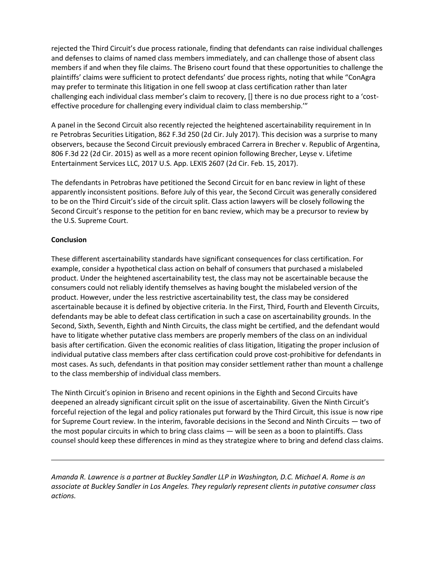rejected the Third Circuit's due process rationale, finding that defendants can raise individual challenges and defenses to claims of named class members immediately, and can challenge those of absent class members if and when they file claims. The Briseno court found that these opportunities to challenge the plaintiffs' claims were sufficient to protect defendants' due process rights, noting that while "ConAgra" may prefer to terminate this litigation in one fell swoop at class certification rather than later challenging each individual class member's claim to recovery, [] there is no due process right to a 'costeffective procedure for challenging every individual claim to class membership.'"

A panel in the Second Circuit also recently rejected the heightened ascertainability requirement in In re Petrobras Securities Litigation, 862 F.3d 250 (2d Cir. July 2017). This decision was a surprise to many observers, because the Second Circuit previously embraced Carrera in Brecher v. Republic of Argentina, 806 F.3d 22 (2d Cir. 2015) as well as a more recent opinion following Brecher, Leyse v. Lifetime Entertainment Services LLC, 2017 U.S. App. LEXIS 2607 (2d Cir. Feb. 15, 2017).

The defendants in Petrobras have petitioned the Second Circuit for en banc review in light of these apparently inconsistent positions. Before July of this year, the Second Circuit was generally considered to be on the Third Circuit's side of the circuit split. Class action lawyers will be closely following the Second Circuit's response to the petition for en banc review, which may be a precursor to review by the U.S. Supreme Court.

## **Conclusion**

These different ascertainability standards have significant consequences for class certification. For example, consider a hypothetical class action on behalf of consumers that purchased a mislabeled product. Under the heightened ascertainability test, the class may not be ascertainable because the consumers could not reliably identify themselves as having bought the mislabeled version of the product. However, under the less restrictive ascertainability test, the class may be considered ascertainable because it is defined by objective criteria. In the First, Third, Fourth and Eleventh Circuits, defendants may be able to defeat class certification in such a case on ascertainability grounds. In the Second, Sixth, Seventh, Eighth and Ninth Circuits, the class might be certified, and the defendant would have to litigate whether putative class members are properly members of the class on an individual basis after certification. Given the economic realities of class litigation, litigating the proper inclusion of individual putative class members after class certification could prove cost-prohibitive for defendants in most cases. As such, defendants in that position may consider settlement rather than mount a challenge to the class membership of individual class members.

The Ninth Circuit's opinion in Briseno and recent opinions in the Eighth and Second Circuits have deepened an already significant circuit split on the issue of ascertainability. Given the Ninth Circuit's forceful rejection of the legal and policy rationales put forward by the Third Circuit, this issue is now ripe for Supreme Court review. In the interim, favorable decisions in the Second and Ninth Circuits — two of the most popular circuits in which to bring class claims — will be seen as a boon to plaintiffs. Class counsel should keep these differences in mind as they strategize where to bring and defend class claims.

*Amanda R. Lawrence is a partner at Buckley Sandler LLP in Washington, D.C. Michael A. Rome is an associate at Buckley Sandler in Los Angeles. They regularly represent clients in putative consumer class actions.*